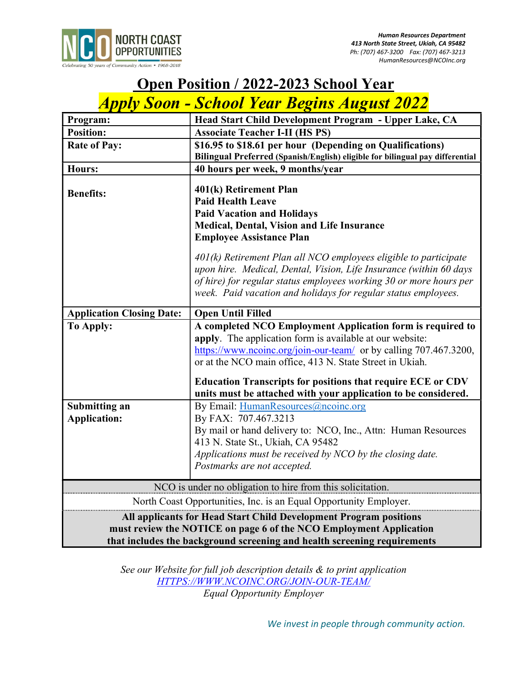

## **Open Position / 2022-2023 School Year**

# Apply Soon - School Year Begins August 2022

| Program:                                                                                                                                                                                                            | Head Start Child Development Program - Upper Lake, CA                                                                                                                                                                                                                                                                                                                                    |
|---------------------------------------------------------------------------------------------------------------------------------------------------------------------------------------------------------------------|------------------------------------------------------------------------------------------------------------------------------------------------------------------------------------------------------------------------------------------------------------------------------------------------------------------------------------------------------------------------------------------|
| <b>Position:</b>                                                                                                                                                                                                    | <b>Associate Teacher I-II (HS PS)</b>                                                                                                                                                                                                                                                                                                                                                    |
| <b>Rate of Pay:</b>                                                                                                                                                                                                 | \$16.95 to \$18.61 per hour (Depending on Qualifications)                                                                                                                                                                                                                                                                                                                                |
|                                                                                                                                                                                                                     | Bilingual Preferred (Spanish/English) eligible for bilingual pay differential                                                                                                                                                                                                                                                                                                            |
| <b>Hours:</b>                                                                                                                                                                                                       | 40 hours per week, 9 months/year                                                                                                                                                                                                                                                                                                                                                         |
| <b>Benefits:</b>                                                                                                                                                                                                    | 401(k) Retirement Plan<br><b>Paid Health Leave</b><br><b>Paid Vacation and Holidays</b><br>Medical, Dental, Vision and Life Insurance<br><b>Employee Assistance Plan</b><br>401(k) Retirement Plan all NCO employees eligible to participate<br>upon hire. Medical, Dental, Vision, Life Insurance (within 60 days<br>of hire) for regular status employees working 30 or more hours per |
|                                                                                                                                                                                                                     | week. Paid vacation and holidays for regular status employees.                                                                                                                                                                                                                                                                                                                           |
| <b>Application Closing Date:</b>                                                                                                                                                                                    | <b>Open Until Filled</b>                                                                                                                                                                                                                                                                                                                                                                 |
| <b>To Apply:</b>                                                                                                                                                                                                    | A completed NCO Employment Application form is required to<br>apply. The application form is available at our website:<br>https://www.ncoinc.org/join-our-team/ or by calling 707.467.3200,<br>or at the NCO main office, 413 N. State Street in Ukiah.                                                                                                                                  |
|                                                                                                                                                                                                                     | <b>Education Transcripts for positions that require ECE or CDV</b><br>units must be attached with your application to be considered.                                                                                                                                                                                                                                                     |
| <b>Submitting an</b>                                                                                                                                                                                                | By Email: HumanResources@ncoinc.org                                                                                                                                                                                                                                                                                                                                                      |
| <b>Application:</b>                                                                                                                                                                                                 | By FAX: 707.467.3213<br>By mail or hand delivery to: NCO, Inc., Attn: Human Resources<br>413 N. State St., Ukiah, CA 95482<br>Applications must be received by NCO by the closing date.<br>Postmarks are not accepted.                                                                                                                                                                   |
| NCO is under no obligation to hire from this solicitation.                                                                                                                                                          |                                                                                                                                                                                                                                                                                                                                                                                          |
| North Coast Opportunities, Inc. is an Equal Opportunity Employer.                                                                                                                                                   |                                                                                                                                                                                                                                                                                                                                                                                          |
| All applicants for Head Start Child Development Program positions<br>must review the NOTICE on page 6 of the NCO Employment Application<br>that includes the background screening and health screening requirements |                                                                                                                                                                                                                                                                                                                                                                                          |

See our Website for full job description details & to print application HTTPS://WWW.NCOINC.ORG/JOIN-OUR-TEAM/ Equal Opportunity Employer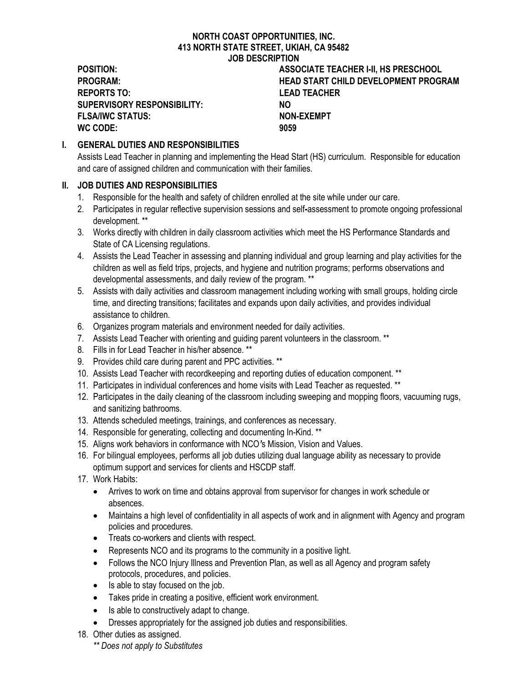## NORTH COAST OPPORTUNITIES, INC. 413 NORTH STATE STREET, UKIAH, CA 95482 JOB DESCRIPTION

REPORTS TO: LEAD TEACHER SUPERVISORY RESPONSIBILITY: NO FLSA/IWC STATUS: NON-EXEMPT WC CODE: 9059

POSITION: ASSOCIATE TEACHER I-II, HS PRESCHOOL PROGRAM: HEAD START CHILD DEVELOPMENT PROGRAM

## I. GENERAL DUTIES AND RESPONSIBILITIES

Assists Lead Teacher in planning and implementing the Head Start (HS) curriculum. Responsible for education and care of assigned children and communication with their families.

## II. JOB DUTIES AND RESPONSIBILITIES

- 1. Responsible for the health and safety of children enrolled at the site while under our care.
- 2. Participates in regular reflective supervision sessions and self-assessment to promote ongoing professional development. \*\*
- 3. Works directly with children in daily classroom activities which meet the HS Performance Standards and State of CA Licensing regulations.
- 4. Assists the Lead Teacher in assessing and planning individual and group learning and play activities for the children as well as field trips, projects, and hygiene and nutrition programs; performs observations and developmental assessments, and daily review of the program. \*\*
- 5. Assists with daily activities and classroom management including working with small groups, holding circle time, and directing transitions; facilitates and expands upon daily activities, and provides individual assistance to children.
- 6. Organizes program materials and environment needed for daily activities.
- 7. Assists Lead Teacher with orienting and guiding parent volunteers in the classroom. \*\*
- 8. Fills in for Lead Teacher in his/her absence. \*\*
- 9. Provides child care during parent and PPC activities. \*\*
- 10. Assists Lead Teacher with recordkeeping and reporting duties of education component. \*\*
- 11. Participates in individual conferences and home visits with Lead Teacher as requested. \*\*
- 12. Participates in the daily cleaning of the classroom including sweeping and mopping floors, vacuuming rugs, and sanitizing bathrooms.
- 13. Attends scheduled meetings, trainings, and conferences as necessary.
- 14. Responsible for generating, collecting and documenting In-Kind. \*\*
- 15. Aligns work behaviors in conformance with NCO's Mission, Vision and Values.
- 16. For bilingual employees, performs all job duties utilizing dual language ability as necessary to provide optimum support and services for clients and HSCDP staff.
- 17. Work Habits:
	- Arrives to work on time and obtains approval from supervisor for changes in work schedule or absences.
	- Maintains a high level of confidentiality in all aspects of work and in alignment with Agency and program policies and procedures.
	- Treats co-workers and clients with respect.
	- Represents NCO and its programs to the community in a positive light.
	- Follows the NCO Injury Illness and Prevention Plan, as well as all Agency and program safety protocols, procedures, and policies.
	- Is able to stay focused on the job.
	- Takes pride in creating a positive, efficient work environment.
	- Is able to constructively adapt to change.
	- Dresses appropriately for the assigned job duties and responsibilities.
- 18. Other duties as assigned.
	- \*\* Does not apply to Substitutes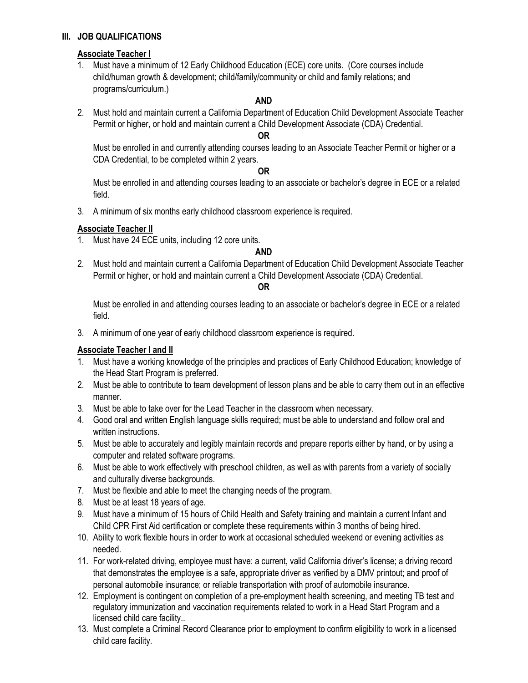### III. JOB QUALIFICATIONS

## Associate Teacher I

1. Must have a minimum of 12 Early Childhood Education (ECE) core units. (Core courses include child/human growth & development; child/family/community or child and family relations; and programs/curriculum.)

#### AND

2. Must hold and maintain current a California Department of Education Child Development Associate Teacher Permit or higher, or hold and maintain current a Child Development Associate (CDA) Credential.

#### OR

Must be enrolled in and currently attending courses leading to an Associate Teacher Permit or higher or a CDA Credential, to be completed within 2 years.

#### OR

Must be enrolled in and attending courses leading to an associate or bachelor's degree in ECE or a related field.

3. A minimum of six months early childhood classroom experience is required.

#### Associate Teacher II

1. Must have 24 ECE units, including 12 core units.

#### AND

2. Must hold and maintain current a California Department of Education Child Development Associate Teacher Permit or higher, or hold and maintain current a Child Development Associate (CDA) Credential.

#### OR

Must be enrolled in and attending courses leading to an associate or bachelor's degree in ECE or a related field.

3. A minimum of one year of early childhood classroom experience is required.

## **Associate Teacher I and II**

- 1. Must have a working knowledge of the principles and practices of Early Childhood Education; knowledge of the Head Start Program is preferred.
- 2. Must be able to contribute to team development of lesson plans and be able to carry them out in an effective manner.
- 3. Must be able to take over for the Lead Teacher in the classroom when necessary.
- 4. Good oral and written English language skills required; must be able to understand and follow oral and written instructions.
- 5. Must be able to accurately and legibly maintain records and prepare reports either by hand, or by using a computer and related software programs.
- 6. Must be able to work effectively with preschool children, as well as with parents from a variety of socially and culturally diverse backgrounds.
- 7. Must be flexible and able to meet the changing needs of the program.
- 8. Must be at least 18 years of age.
- 9. Must have a minimum of 15 hours of Child Health and Safety training and maintain a current Infant and Child CPR First Aid certification or complete these requirements within 3 months of being hired.
- 10. Ability to work flexible hours in order to work at occasional scheduled weekend or evening activities as needed.
- 11. For work-related driving, employee must have: a current, valid California driver's license; a driving record that demonstrates the employee is a safe, appropriate driver as verified by a DMV printout; and proof of personal automobile insurance; or reliable transportation with proof of automobile insurance.
- 12. Employment is contingent on completion of a pre-employment health screening, and meeting TB test and regulatory immunization and vaccination requirements related to work in a Head Start Program and a licensed child care facility..
- 13. Must complete a Criminal Record Clearance prior to employment to confirm eligibility to work in a licensed child care facility.